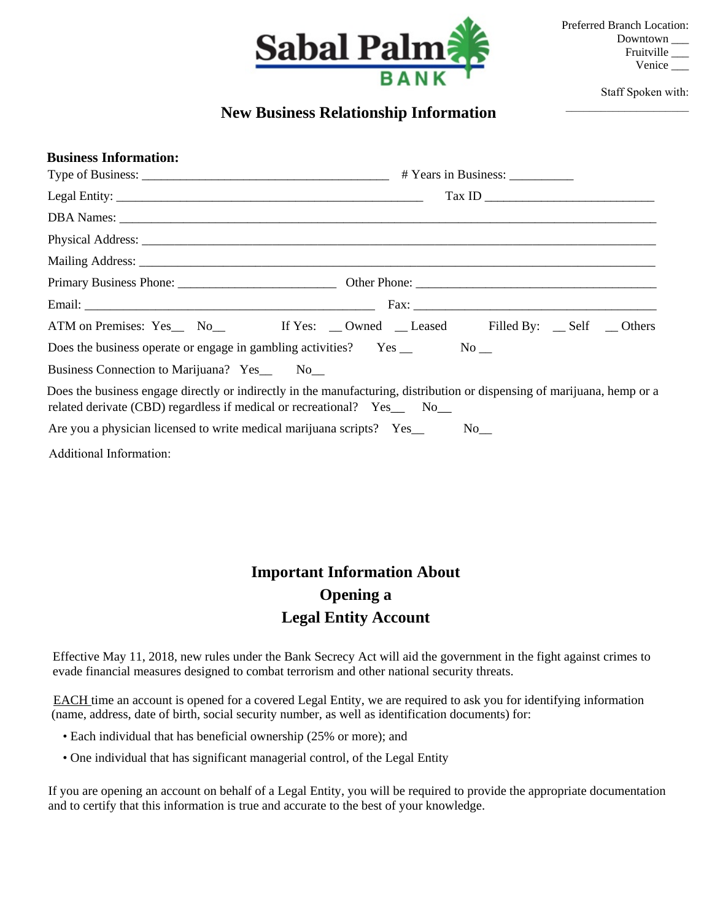

Staff Spoken with:

## \_\_\_\_\_\_\_\_\_\_\_\_\_\_\_\_\_\_\_\_\_ **New Business Relationship Information**

| <b>Business Information:</b>                                                                                                                                                                       |                                                              |  |  |  |
|----------------------------------------------------------------------------------------------------------------------------------------------------------------------------------------------------|--------------------------------------------------------------|--|--|--|
|                                                                                                                                                                                                    |                                                              |  |  |  |
|                                                                                                                                                                                                    | $\boxed{\text{Tax ID}} \qquad \qquad \boxed{\qquad \qquad }$ |  |  |  |
|                                                                                                                                                                                                    |                                                              |  |  |  |
|                                                                                                                                                                                                    |                                                              |  |  |  |
|                                                                                                                                                                                                    |                                                              |  |  |  |
|                                                                                                                                                                                                    |                                                              |  |  |  |
|                                                                                                                                                                                                    |                                                              |  |  |  |
| ATM on Premises: Yes_ No_ If Yes: _ Owned _ Leased Filled By: _ Self _ Others                                                                                                                      |                                                              |  |  |  |
|                                                                                                                                                                                                    |                                                              |  |  |  |
| Business Connection to Marijuana? Yes_ No_                                                                                                                                                         |                                                              |  |  |  |
| Does the business engage directly or indirectly in the manufacturing, distribution or dispensing of marijuana, hemp or a<br>related derivate (CBD) regardless if medical or recreational? Yes_ No_ |                                                              |  |  |  |
|                                                                                                                                                                                                    |                                                              |  |  |  |
| Additional Information:                                                                                                                                                                            |                                                              |  |  |  |

## **Important Information About Opening a Legal Entity Account**

Effective May 11, 2018, new rules under the Bank Secrecy Act will aid the government in the fight against crimes to evade financial measures designed to combat terrorism and other national security threats.

 EACH time an account is opened for a covered Legal Entity, we are required to ask you for identifying information (name, address, date of birth, social security number, as well as identification documents) for:

- Each individual that has beneficial ownership (25% or more); and
- One individual that has significant managerial control, of the Legal Entity

 If you are opening an account on behalf of a Legal Entity, you will be required to provide the appropriate documentation and to certify that this information is true and accurate to the best of your knowledge.